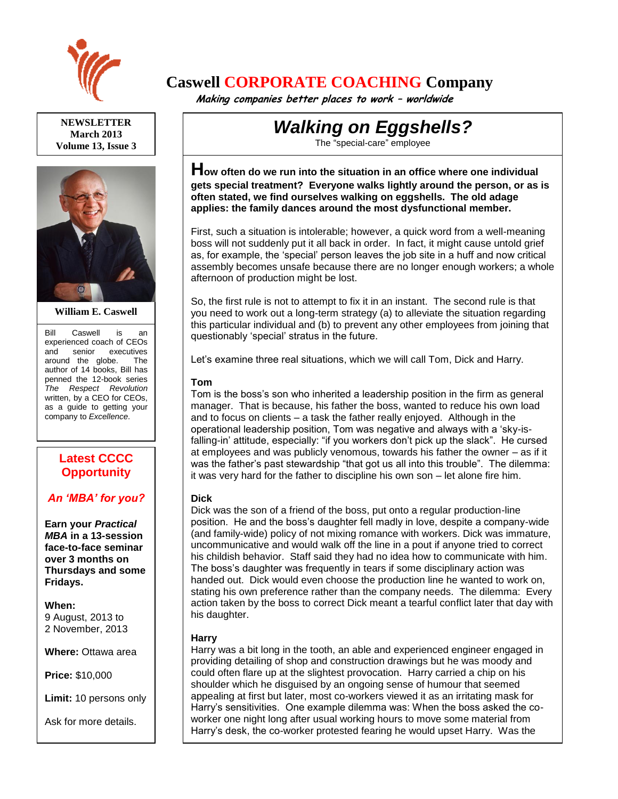

**NEWSLETTER March 2013 Volume 13, Issue 3**



**William E. Caswell**

Bill Caswell is an experienced coach of CEOs and senior executives around the globe. The author of 14 books, Bill has penned the 12-book series *The Respect Revolution* written, by a CEO for CEOs, as a guide to getting your company to *Excellence*.

## **Latest CCCC Opportunity**

### *An 'MBA' for you?*

**Earn your** *Practical MBA* **in a 13-session face-to-face seminar over 3 months on Thursdays and some Fridays.**

**When:**  9 August, 2013 to 2 November, 2013

**Where:** Ottawa area

**Price:** \$10,000

**Limit:** 10 persons only

**Latest CCCC** 

Ask for more details.

# **Caswell CORPORATE COACHING Company**

 **Making companies better places to work – worldwide**

# *Walking on Eggshells?*

The "special-care" employee

**How often do we run into the situation in an office where one individual gets special treatment? Everyone walks lightly around the person, or as is often stated, we find ourselves walking on eggshells. The old adage applies: the family dances around the most dysfunctional member.**

First, such a situation is intolerable; however, a quick word from a well-meaning boss will not suddenly put it all back in order. In fact, it might cause untold grief as, for example, the 'special' person leaves the job site in a huff and now critical assembly becomes unsafe because there are no longer enough workers; a whole afternoon of production might be lost.

So, the first rule is not to attempt to fix it in an instant. The second rule is that you need to work out a long-term strategy (a) to alleviate the situation regarding this particular individual and (b) to prevent any other employees from joining that questionably 'special' stratus in the future.

Let's examine three real situations, which we will call Tom, Dick and Harry.

### **Tom**

Tom is the boss's son who inherited a leadership position in the firm as general manager. That is because, his father the boss, wanted to reduce his own load and to focus on clients – a task the father really enjoyed. Although in the operational leadership position, Tom was negative and always with a 'sky-isfalling-in' attitude, especially: "if you workers don't pick up the slack". He cursed at employees and was publicly venomous, towards his father the owner – as if it was the father's past stewardship "that got us all into this trouble". The dilemma: it was very hard for the father to discipline his own son – let alone fire him.

### **Dick**

Dick was the son of a friend of the boss, put onto a regular production-line position. He and the boss's daughter fell madly in love, despite a company-wide (and family-wide) policy of not mixing romance with workers. Dick was immature, uncommunicative and would walk off the line in a pout if anyone tried to correct his childish behavior. Staff said they had no idea how to communicate with him. The boss's daughter was frequently in tears if some disciplinary action was handed out. Dick would even choose the production line he wanted to work on, stating his own preference rather than the company needs. The dilemma: Every action taken by the boss to correct Dick meant a tearful conflict later that day with his daughter.

### **Harry**

Harry was a bit long in the tooth, an able and experienced engineer engaged in providing detailing of shop and construction drawings but he was moody and could often flare up at the slightest provocation. Harry carried a chip on his shoulder which he disguised by an ongoing sense of humour that seemed appealing at first but later, most co-workers viewed it as an irritating mask for Harry's sensitivities. One example dilemma was: When the boss asked the coworker one night long after usual working hours to move some material from Harry's desk, the co-worker protested fearing he would upset Harry. Was the